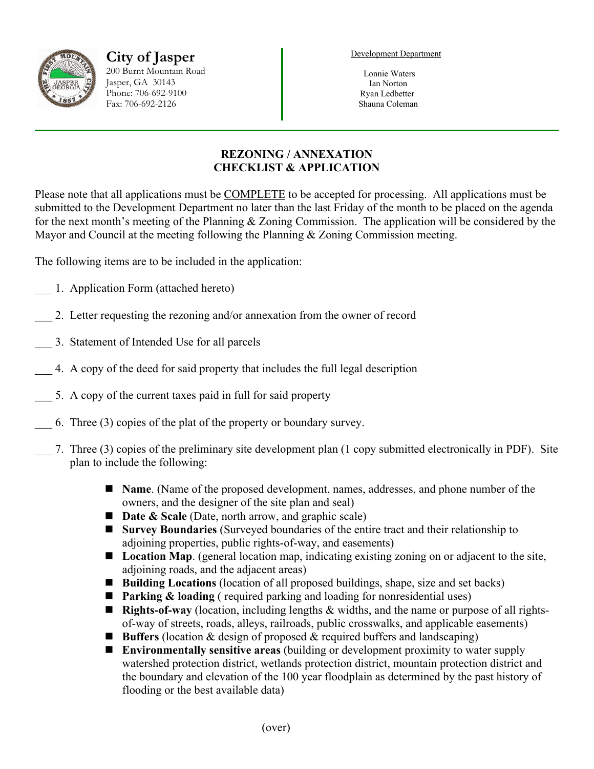

**City of Jasper** 200 Burnt Mountain Road Jasper, GA 30143 Phone: 706-692-9100 Fax: 706-692-2126

Development Department

 Lonnie Waters Ian Norton Ryan Ledbetter Shauna Coleman

## **REZONING / ANNEXATION CHECKLIST & APPLICATION**

Please note that all applications must be COMPLETE to be accepted for processing. All applications must be submitted to the Development Department no later than the last Friday of the month to be placed on the agenda for the next month's meeting of the Planning & Zoning Commission. The application will be considered by the Mayor and Council at the meeting following the Planning & Zoning Commission meeting.

The following items are to be included in the application:

- \_\_\_ 1. Application Form (attached hereto)
- 2. Letter requesting the rezoning and/or annexation from the owner of record
- \_\_\_ 3. Statement of Intended Use for all parcels
- \_\_\_ 4. A copy of the deed for said property that includes the full legal description
- 5. A copy of the current taxes paid in full for said property
- \_\_\_ 6. Three (3) copies of the plat of the property or boundary survey.
- \_\_\_ 7. Three (3) copies of the preliminary site development plan (1 copy submitted electronically in PDF). Site plan to include the following:
	- **Name**. (Name of the proposed development, names, addresses, and phone number of the owners, and the designer of the site plan and seal)
	- **Date & Scale** (Date, north arrow, and graphic scale)
	- **Survey Boundaries** (Surveyed boundaries of the entire tract and their relationship to adjoining properties, public rights-of-way, and easements)
	- **Location Map.** (general location map, indicating existing zoning on or adjacent to the site, adjoining roads, and the adjacent areas)
	- Building Locations (location of all proposed buildings, shape, size and set backs)
	- **Parking & loading** (required parking and loading for nonresidential uses)
	- **Rights-of-way** (location, including lengths & widths, and the name or purpose of all rightsof-way of streets, roads, alleys, railroads, public crosswalks, and applicable easements)
	- Buffers (location & design of proposed & required buffers and landscaping)
	- **Environmentally sensitive areas** (building or development proximity to water supply watershed protection district, wetlands protection district, mountain protection district and the boundary and elevation of the 100 year floodplain as determined by the past history of flooding or the best available data)